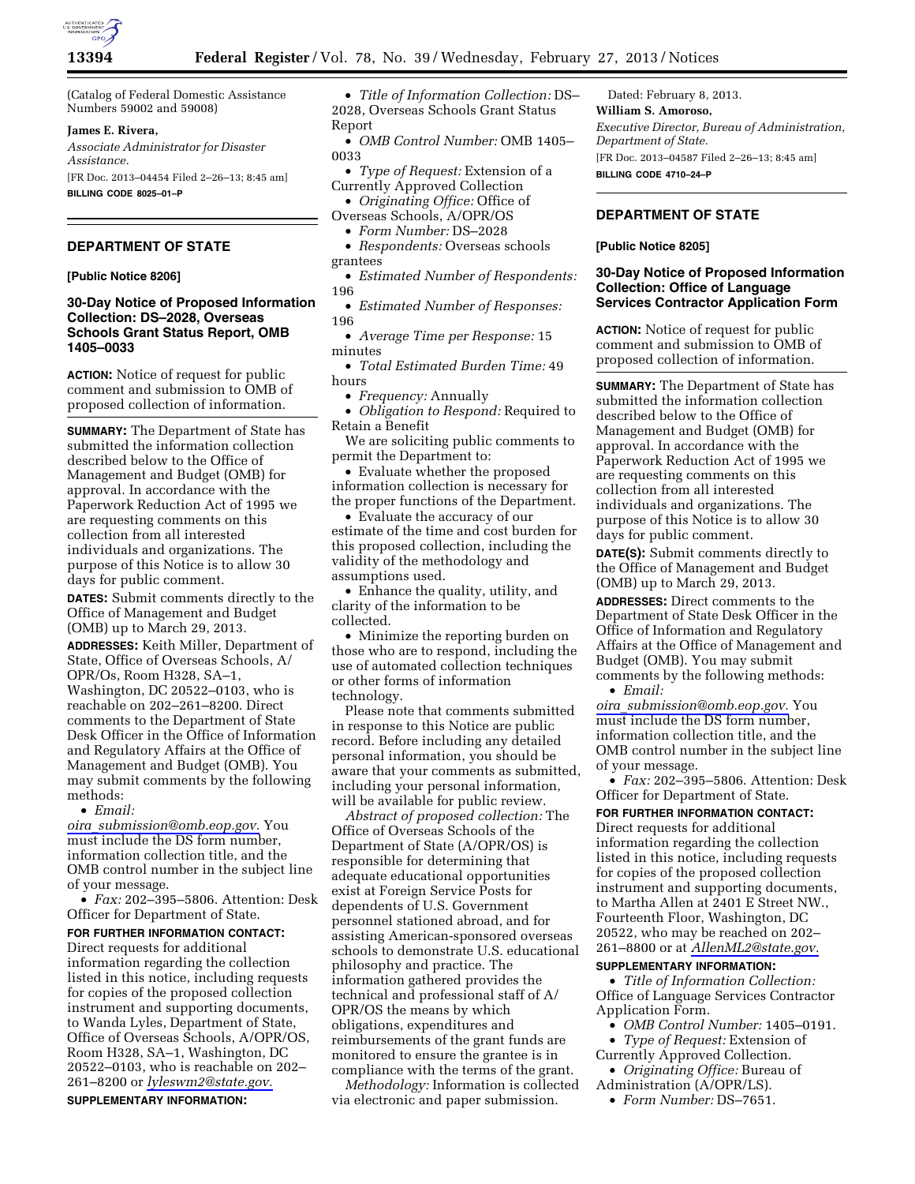

(Catalog of Federal Domestic Assistance Numbers 59002 and 59008)

## **James E. Rivera,**

*Associate Administrator for Disaster Assistance.* 

[FR Doc. 2013–04454 Filed 2–26–13; 8:45 am] **BILLING CODE 8025–01–P** 

# **DEPARTMENT OF STATE**

**[Public Notice 8206]** 

## **30-Day Notice of Proposed Information Collection: DS–2028, Overseas Schools Grant Status Report, OMB 1405–0033**

**ACTION:** Notice of request for public comment and submission to OMB of proposed collection of information.

**SUMMARY:** The Department of State has submitted the information collection described below to the Office of Management and Budget (OMB) for approval. In accordance with the Paperwork Reduction Act of 1995 we are requesting comments on this collection from all interested individuals and organizations. The purpose of this Notice is to allow 30 days for public comment.

**DATES:** Submit comments directly to the Office of Management and Budget (OMB) up to March 29, 2013.

**ADDRESSES:** Keith Miller, Department of State, Office of Overseas Schools, A/ OPR/Os, Room H328, SA–1, Washington, DC 20522–0103, who is reachable on 202–261–8200. Direct comments to the Department of State Desk Officer in the Office of Information and Regulatory Affairs at the Office of Management and Budget (OMB). You may submit comments by the following methods:

• *Email:* 

*oira*\_*[submission@omb.eop.gov.](mailto:oira_submission@omb.eop.gov)* You must include the DS form number, information collection title, and the OMB control number in the subject line of your message.

• *Fax:* 202–395–5806. Attention: Desk Officer for Department of State.

# **FOR FURTHER INFORMATION CONTACT:**

Direct requests for additional information regarding the collection listed in this notice, including requests for copies of the proposed collection instrument and supporting documents, to Wanda Lyles, Department of State, Office of Overseas Schools, A/OPR/OS, Room H328, SA–1, Washington, DC 20522–0103, who is reachable on 202– 261–8200 or *[lyleswm2@state.gov.](mailto:lyleswm2@state.gov)* 

**SUPPLEMENTARY INFORMATION:** 

• *Title of Information Collection:* DS– 2028, Overseas Schools Grant Status Report

• *OMB Control Number:* OMB 1405– 0033

• *Type of Request:* Extension of a Currently Approved Collection

• *Originating Office:* Office of

- Overseas Schools, A/OPR/OS
	- *Form Number:* DS–2028
- *Respondents:* Overseas schools grantees

• *Estimated Number of Respondents:*  196

• *Estimated Number of Responses:*  196

• *Average Time per Response:* 15 minutes

• *Total Estimated Burden Time:* 49 hours

• *Frequency:* Annually

• *Obligation to Respond:* Required to Retain a Benefit

We are soliciting public comments to permit the Department to:

• Evaluate whether the proposed information collection is necessary for the proper functions of the Department.

• Evaluate the accuracy of our estimate of the time and cost burden for this proposed collection, including the validity of the methodology and assumptions used.

• Enhance the quality, utility, and clarity of the information to be collected.

• Minimize the reporting burden on those who are to respond, including the use of automated collection techniques or other forms of information technology.

Please note that comments submitted in response to this Notice are public record. Before including any detailed personal information, you should be aware that your comments as submitted, including your personal information, will be available for public review.

*Abstract of proposed collection:* The Office of Overseas Schools of the Department of State (A/OPR/OS) is responsible for determining that adequate educational opportunities exist at Foreign Service Posts for dependents of U.S. Government personnel stationed abroad, and for assisting American-sponsored overseas schools to demonstrate U.S. educational philosophy and practice. The information gathered provides the technical and professional staff of A/ OPR/OS the means by which obligations, expenditures and reimbursements of the grant funds are monitored to ensure the grantee is in compliance with the terms of the grant.

*Methodology:* Information is collected via electronic and paper submission.

Dated: February 8, 2013. **William S. Amoroso,**  *Executive Director, Bureau of Administration, Department of State.*  [FR Doc. 2013–04587 Filed 2–26–13; 8:45 am] **BILLING CODE 4710–24–P** 

# **DEPARTMENT OF STATE**

#### **[Public Notice 8205]**

## **30-Day Notice of Proposed Information Collection: Office of Language Services Contractor Application Form**

**ACTION:** Notice of request for public comment and submission to OMB of proposed collection of information.

**SUMMARY:** The Department of State has submitted the information collection described below to the Office of Management and Budget (OMB) for approval. In accordance with the Paperwork Reduction Act of 1995 we are requesting comments on this collection from all interested individuals and organizations. The purpose of this Notice is to allow 30 days for public comment.

**DATE(S):** Submit comments directly to the Office of Management and Budget (OMB) up to March 29, 2013.

**ADDRESSES:** Direct comments to the Department of State Desk Officer in the Office of Information and Regulatory Affairs at the Office of Management and Budget (OMB). You may submit comments by the following methods:

• *Email:* 

*oira*\_*[submission@omb.eop.gov.](mailto:oira_submission@omb.eop.gov)* You must include the DS form number, information collection title, and the OMB control number in the subject line of your message.

• *Fax:* 202–395–5806. Attention: Desk Officer for Department of State.

# **FOR FURTHER INFORMATION CONTACT:**

Direct requests for additional information regarding the collection listed in this notice, including requests for copies of the proposed collection instrument and supporting documents, to Martha Allen at 2401 E Street NW., Fourteenth Floor, Washington, DC 20522, who may be reached on 202– 261–8800 or at *[AllenML2@state.gov.](mailto:AllenML2@state.gov)* 

#### **SUPPLEMENTARY INFORMATION:**

• *Title of Information Collection:*  Office of Language Services Contractor Application Form.

- *OMB Control Number:* 1405–0191.
- *Type of Request:* Extension of Currently Approved Collection.
- *Originating Office:* Bureau of Administration (A/OPR/LS).
	- *Form Number:* DS–7651.